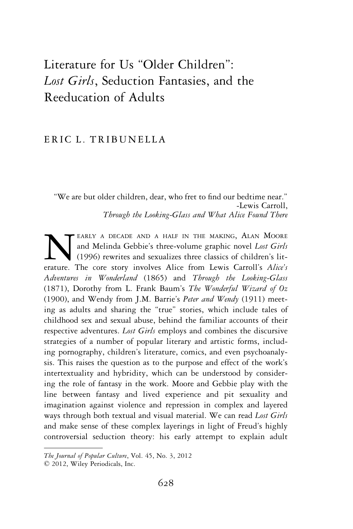## Literature for Us "Older Children": Lost Girls, Seduction Fantasies, and the Reeducation of Adults

## ERIC L. TRIBUNELLA

"We are but older children, dear, who fret to find our bedtime near." -Lewis Carroll, Through the Looking-Glass and What Alice Found There

EARLY A DECADE AND A HALF IN THE MAKING, ALAN MOORE and Melinda Gebbie's three-volume graphic novel Lost Girls (1996) rewrites and sexualizes three classics of children's literature. The core story involves Alice from Lewi and Melinda Gebbie's three-volume graphic novel Lost Girls (1996) rewrites and sexualizes three classics of children's literature. The core story involves Alice from Lewis Carroll's Alice's Adventures in Wonderland (1865) and Through the Looking-Glass (1871), Dorothy from L. Frank Baum's The Wonderful Wizard of Oz (1900), and Wendy from J.M. Barrie's Peter and Wendy (1911) meeting as adults and sharing the "true" stories, which include tales of childhood sex and sexual abuse, behind the familiar accounts of their respective adventures. Lost Girls employs and combines the discursive strategies of a number of popular literary and artistic forms, including pornography, children's literature, comics, and even psychoanalysis. This raises the question as to the purpose and effect of the work's intertextuality and hybridity, which can be understood by considering the role of fantasy in the work. Moore and Gebbie play with the line between fantasy and lived experience and pit sexuality and imagination against violence and repression in complex and layered ways through both textual and visual material. We can read Lost Girls and make sense of these complex layerings in light of Freud's highly controversial seduction theory: his early attempt to explain adult

The Journal of Popular Culture, Vol. 45, No. 3, 2012

<sup>©</sup> 2012, Wiley Periodicals, Inc.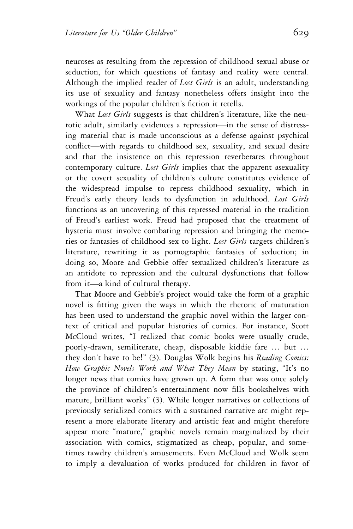neuroses as resulting from the repression of childhood sexual abuse or seduction, for which questions of fantasy and reality were central. Although the implied reader of Lost Girls is an adult, understanding its use of sexuality and fantasy nonetheless offers insight into the workings of the popular children's fiction it retells.

What Lost Girls suggests is that children's literature, like the neurotic adult, similarly evidences a repression—in the sense of distressing material that is made unconscious as a defense against psychical conflict—with regards to childhood sex, sexuality, and sexual desire and that the insistence on this repression reverberates throughout contemporary culture. Lost Girls implies that the apparent asexuality or the covert sexuality of children's culture constitutes evidence of the widespread impulse to repress childhood sexuality, which in Freud's early theory leads to dysfunction in adulthood. Lost Girls functions as an uncovering of this repressed material in the tradition of Freud's earliest work. Freud had proposed that the treatment of hysteria must involve combating repression and bringing the memories or fantasies of childhood sex to light. Lost Girls targets children's literature, rewriting it as pornographic fantasies of seduction; in doing so, Moore and Gebbie offer sexualized children's literature as an antidote to repression and the cultural dysfunctions that follow from it—a kind of cultural therapy.

That Moore and Gebbie's project would take the form of a graphic novel is fitting given the ways in which the rhetoric of maturation has been used to understand the graphic novel within the larger context of critical and popular histories of comics. For instance, Scott McCloud writes, "I realized that comic books were usually crude, poorly-drawn, semiliterate, cheap, disposable kiddie fare … but … they don't have to be!" (3). Douglas Wolk begins his Reading Comics: How Graphic Novels Work and What They Mean by stating, "It's no longer news that comics have grown up. A form that was once solely the province of children's entertainment now fills bookshelves with mature, brilliant works" (3). While longer narratives or collections of previously serialized comics with a sustained narrative arc might represent a more elaborate literary and artistic feat and might therefore appear more "mature," graphic novels remain marginalized by their association with comics, stigmatized as cheap, popular, and sometimes tawdry children's amusements. Even McCloud and Wolk seem to imply a devaluation of works produced for children in favor of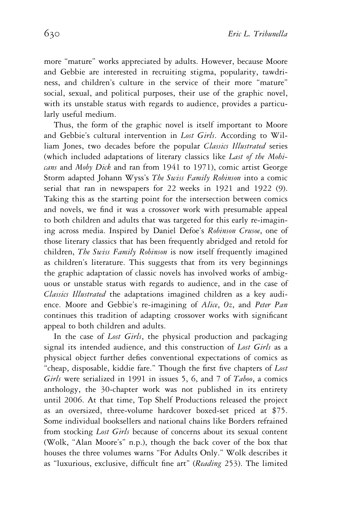more "mature" works appreciated by adults. However, because Moore and Gebbie are interested in recruiting stigma, popularity, tawdriness, and children's culture in the service of their more "mature" social, sexual, and political purposes, their use of the graphic novel, with its unstable status with regards to audience, provides a particularly useful medium.

Thus, the form of the graphic novel is itself important to Moore and Gebbie's cultural intervention in Lost Girls. According to William Jones, two decades before the popular Classics Illustrated series (which included adaptations of literary classics like Last of the Mohicans and Moby Dick and ran from 1941 to 1971), comic artist George Storm adapted Johann Wyss's The Swiss Family Robinson into a comic serial that ran in newspapers for 22 weeks in 1921 and 1922 (9). Taking this as the starting point for the intersection between comics and novels, we find it was a crossover work with presumable appeal to both children and adults that was targeted for this early re-imagining across media. Inspired by Daniel Defoe's Robinson Crusoe, one of those literary classics that has been frequently abridged and retold for children, The Swiss Family Robinson is now itself frequently imagined as children's literature. This suggests that from its very beginnings the graphic adaptation of classic novels has involved works of ambiguous or unstable status with regards to audience, and in the case of Classics Illustrated the adaptations imagined children as a key audience. Moore and Gebbie's re-imagining of Alice, Oz, and Peter Pan continues this tradition of adapting crossover works with significant appeal to both children and adults.

In the case of Lost Girls, the physical production and packaging signal its intended audience, and this construction of Lost Girls as a physical object further defies conventional expectations of comics as "cheap, disposable, kiddie fare." Though the first five chapters of Lost Girls were serialized in 1991 in issues 5, 6, and 7 of Taboo, a comics anthology, the 30-chapter work was not published in its entirety until 2006. At that time, Top Shelf Productions released the project as an oversized, three-volume hardcover boxed-set priced at \$75. Some individual booksellers and national chains like Borders refrained from stocking Lost Girls because of concerns about its sexual content (Wolk, "Alan Moore's" n.p.), though the back cover of the box that houses the three volumes warns "For Adults Only." Wolk describes it as "luxurious, exclusive, difficult fine art" (Reading 253). The limited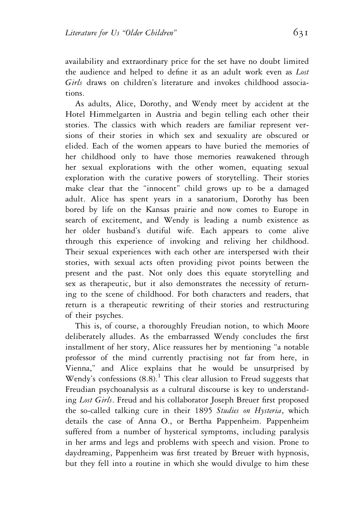availability and extraordinary price for the set have no doubt limited the audience and helped to define it as an adult work even as Lost Girls draws on children's literature and invokes childhood associations.

As adults, Alice, Dorothy, and Wendy meet by accident at the Hotel Himmelgarten in Austria and begin telling each other their stories. The classics with which readers are familiar represent versions of their stories in which sex and sexuality are obscured or elided. Each of the women appears to have buried the memories of her childhood only to have those memories reawakened through her sexual explorations with the other women, equating sexual exploration with the curative powers of storytelling. Their stories make clear that the "innocent" child grows up to be a damaged adult. Alice has spent years in a sanatorium, Dorothy has been bored by life on the Kansas prairie and now comes to Europe in search of excitement, and Wendy is leading a numb existence as her older husband's dutiful wife. Each appears to come alive through this experience of invoking and reliving her childhood. Their sexual experiences with each other are interspersed with their stories, with sexual acts often providing pivot points between the present and the past. Not only does this equate storytelling and sex as therapeutic, but it also demonstrates the necessity of returning to the scene of childhood. For both characters and readers, that return is a therapeutic rewriting of their stories and restructuring of their psyches.

This is, of course, a thoroughly Freudian notion, to which Moore deliberately alludes. As the embarrassed Wendy concludes the first installment of her story, Alice reassures her by mentioning "a notable professor of the mind currently practising not far from here, in Vienna," and Alice explains that he would be unsurprised by Wendy's confessions  $(8.8)$ .<sup>1</sup> This clear allusion to Freud suggests that Freudian psychoanalysis as a cultural discourse is key to understanding Lost Girls. Freud and his collaborator Joseph Breuer first proposed the so-called talking cure in their 1895 Studies on Hysteria, which details the case of Anna O., or Bertha Pappenheim. Pappenheim suffered from a number of hysterical symptoms, including paralysis in her arms and legs and problems with speech and vision. Prone to daydreaming, Pappenheim was first treated by Breuer with hypnosis, but they fell into a routine in which she would divulge to him these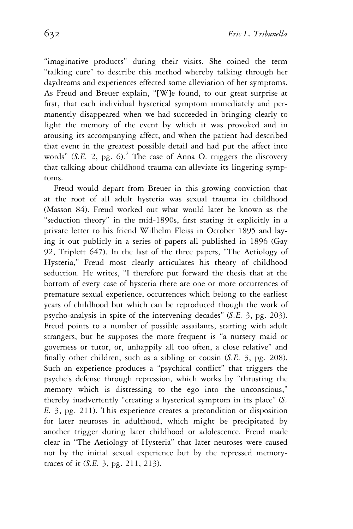"imaginative products" during their visits. She coined the term "talking cure" to describe this method whereby talking through her daydreams and experiences effected some alleviation of her symptoms. As Freud and Breuer explain, "[W]e found, to our great surprise at first, that each individual hysterical symptom immediately and permanently disappeared when we had succeeded in bringing clearly to light the memory of the event by which it was provoked and in arousing its accompanying affect, and when the patient had described that event in the greatest possible detail and had put the affect into words" (S.E. 2, pg. 6).<sup>2</sup> The case of Anna O. triggers the discovery that talking about childhood trauma can alleviate its lingering symptoms.

Freud would depart from Breuer in this growing conviction that at the root of all adult hysteria was sexual trauma in childhood (Masson 84). Freud worked out what would later be known as the "seduction theory" in the mid-1890s, first stating it explicitly in a private letter to his friend Wilhelm Fleiss in October 1895 and laying it out publicly in a series of papers all published in 1896 (Gay 92, Triplett 647). In the last of the three papers, "The Aetiology of Hysteria," Freud most clearly articulates his theory of childhood seduction. He writes, "I therefore put forward the thesis that at the bottom of every case of hysteria there are one or more occurrences of premature sexual experience, occurrences which belong to the earliest years of childhood but which can be reproduced though the work of psycho-analysis in spite of the intervening decades" (S.E. 3, pg. 203). Freud points to a number of possible assailants, starting with adult strangers, but he supposes the more frequent is "a nursery maid or governess or tutor, or, unhappily all too often, a close relative" and finally other children, such as a sibling or cousin (S.E. 3, pg. 208). Such an experience produces a "psychical conflict" that triggers the psyche's defense through repression, which works by "thrusting the memory which is distressing to the ego into the unconscious," thereby inadvertently "creating a hysterical symptom in its place" (S. E. 3, pg. 211). This experience creates a precondition or disposition for later neuroses in adulthood, which might be precipitated by another trigger during later childhood or adolescence. Freud made clear in "The Aetiology of Hysteria" that later neuroses were caused not by the initial sexual experience but by the repressed memorytraces of it (S.E. 3, pg. 211, 213).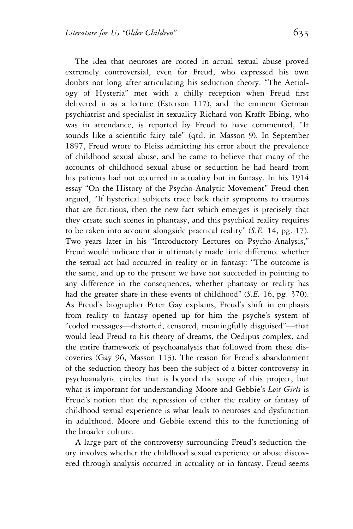The idea that neuroses are rooted in actual sexual abuse proved extremely controversial, even for Freud, who expressed his own doubts not long after articulating his seduction theory. "The Aetiology of Hysteria" met with a chilly reception when Freud first delivered it as a lecture (Esterson 117), and the eminent German psychiatrist and specialist in sexuality Richard von Krafft-Ebing, who was in attendance, is reported by Freud to have commented, "It sounds like a scientific fairy tale" (qtd. in Masson 9). In September 1897, Freud wrote to Fleiss admitting his error about the prevalence of childhood sexual abuse, and he came to believe that many of the accounts of childhood sexual abuse or seduction he had heard from his patients had not occurred in actuality but in fantasy. In his 1914 essay "On the History of the Psycho-Analytic Movement" Freud then argued, "If hysterical subjects trace back their symptoms to traumas that are fictitious, then the new fact which emerges is precisely that they create such scenes in phantasy, and this psychical reality requires to be taken into account alongside practical reality" (S.E. 14, pg. 17). Two years later in his "Introductory Lectures on Psycho-Analysis," Freud would indicate that it ultimately made little difference whether the sexual act had occurred in reality or in fantasy: "The outcome is the same, and up to the present we have not succeeded in pointing to any difference in the consequences, whether phantasy or reality has had the greater share in these events of childhood" (S.E. 16, pg. 370). As Freud's biographer Peter Gay explains, Freud's shift in emphasis from reality to fantasy opened up for him the psyche's system of "coded messages—distorted, censored, meaningfully disguised"—that would lead Freud to his theory of dreams, the Oedipus complex, and the entire framework of psychoanalysis that followed from these discoveries (Gay 96, Masson 113). The reason for Freud's abandonment of the seduction theory has been the subject of a bitter controversy in psychoanalytic circles that is beyond the scope of this project, but what is important for understanding Moore and Gebbie's Lost Girls is Freud's notion that the repression of either the reality or fantasy of childhood sexual experience is what leads to neuroses and dysfunction in adulthood. Moore and Gebbie extend this to the functioning of the broader culture.

A large part of the controversy surrounding Freud's seduction theory involves whether the childhood sexual experience or abuse discovered through analysis occurred in actuality or in fantasy. Freud seems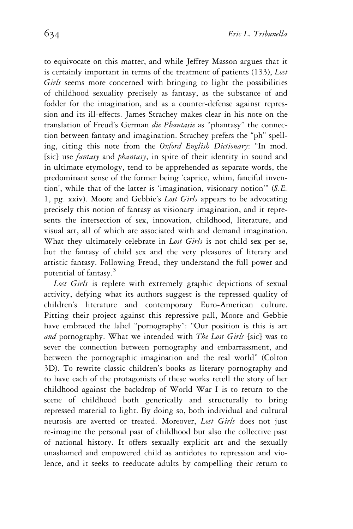to equivocate on this matter, and while Jeffrey Masson argues that it is certainly important in terms of the treatment of patients (133), Lost Girls seems more concerned with bringing to light the possibilities of childhood sexuality precisely as fantasy, as the substance of and fodder for the imagination, and as a counter-defense against repression and its ill-effects. James Strachey makes clear in his note on the translation of Freud's German die Phantasie as "phantasy" the connection between fantasy and imagination. Strachey prefers the "ph" spelling, citing this note from the Oxford English Dictionary: "In mod. [sic] use *fantasy* and *phantasy*, in spite of their identity in sound and in ultimate etymology, tend to be apprehended as separate words, the predominant sense of the former being 'caprice, whim, fanciful invention', while that of the latter is 'imagination, visionary notion'" (S.E. 1, pg. xxiv). Moore and Gebbie's Lost Girls appears to be advocating precisely this notion of fantasy as visionary imagination, and it represents the intersection of sex, innovation, childhood, literature, and visual art, all of which are associated with and demand imagination. What they ultimately celebrate in *Lost Girls* is not child sex per se, but the fantasy of child sex and the very pleasures of literary and artistic fantasy. Following Freud, they understand the full power and potential of fantasy.3

Lost Girls is replete with extremely graphic depictions of sexual activity, defying what its authors suggest is the repressed quality of children's literature and contemporary Euro-American culture. Pitting their project against this repressive pall, Moore and Gebbie have embraced the label "pornography": "Our position is this is art and pornography. What we intended with The Lost Girls [sic] was to sever the connection between pornography and embarrassment, and between the pornographic imagination and the real world" (Colton 3D). To rewrite classic children's books as literary pornography and to have each of the protagonists of these works retell the story of her childhood against the backdrop of World War I is to return to the scene of childhood both generically and structurally to bring repressed material to light. By doing so, both individual and cultural neurosis are averted or treated. Moreover, Lost Girls does not just re-imagine the personal past of childhood but also the collective past of national history. It offers sexually explicit art and the sexually unashamed and empowered child as antidotes to repression and violence, and it seeks to reeducate adults by compelling their return to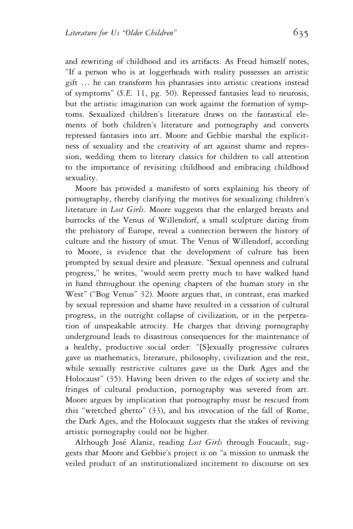and rewriting of childhood and its artifacts. As Freud himself notes, "If a person who is at loggerheads with reality possesses an artistic gift … he can transform his phantasies into artistic creations instead of symptoms" (S.E. 11, pg. 50). Repressed fantasies lead to neurosis, but the artistic imagination can work against the formation of symptoms. Sexualized children's literature draws on the fantastical elements of both children's literature and pornography and converts repressed fantasies into art. Moore and Gebbie marshal the explicitness of sexuality and the creativity of art against shame and repression, wedding them to literary classics for children to call attention to the importance of revisiting childhood and embracing childhood sexuality.

Moore has provided a manifesto of sorts explaining his theory of pornography, thereby clarifying the motives for sexualizing children's literature in Lost Girls. Moore suggests that the enlarged breasts and buttocks of the Venus of Willendorf, a small sculpture dating from the prehistory of Europe, reveal a connection between the history of culture and the history of smut. The Venus of Willendorf, according to Moore, is evidence that the development of culture has been prompted by sexual desire and pleasure. "Sexual openness and cultural progress," he writes, "would seem pretty much to have walked hand in hand throughout the opening chapters of the human story in the West" ("Bog Venus" 32). Moore argues that, in contrast, eras marked by sexual repression and shame have resulted in a cessation of cultural progress, in the outright collapse of civilization, or in the perpetration of unspeakable atrocity. He charges that driving pornography underground leads to disastrous consequences for the maintenance of a healthy, productive social order: "[S]exually progressive cultures gave us mathematics, literature, philosophy, civilization and the rest, while sexually restrictive cultures gave us the Dark Ages and the Holocaust" (35). Having been driven to the edges of society and the fringes of cultural production, pornography was severed from art. Moore argues by implication that pornography must be rescued from this "wretched ghetto" (33), and his invocation of the fall of Rome, the Dark Ages, and the Holocaust suggests that the stakes of reviving artistic pornography could not be higher.

Although José Alaniz, reading Lost Girls through Foucault, suggests that Moore and Gebbie's project is on "a mission to unmask the veiled product of an institutionalized incitement to discourse on sex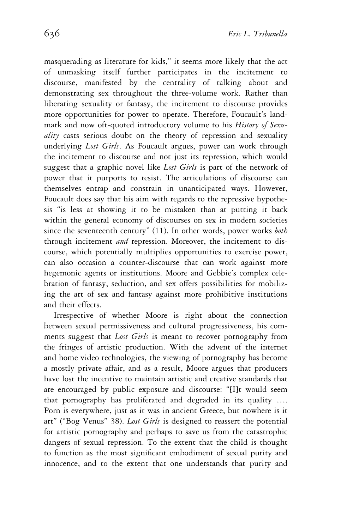masquerading as literature for kids," it seems more likely that the act of unmasking itself further participates in the incitement to discourse, manifested by the centrality of talking about and demonstrating sex throughout the three-volume work. Rather than liberating sexuality or fantasy, the incitement to discourse provides more opportunities for power to operate. Therefore, Foucault's landmark and now oft-quoted introductory volume to his History of Sexuality casts serious doubt on the theory of repression and sexuality underlying Lost Girls. As Foucault argues, power can work through the incitement to discourse and not just its repression, which would suggest that a graphic novel like Lost Girls is part of the network of power that it purports to resist. The articulations of discourse can themselves entrap and constrain in unanticipated ways. However, Foucault does say that his aim with regards to the repressive hypothesis "is less at showing it to be mistaken than at putting it back within the general economy of discourses on sex in modern societies since the seventeenth century" (11). In other words, power works both through incitement *and* repression. Moreover, the incitement to discourse, which potentially multiplies opportunities to exercise power, can also occasion a counter-discourse that can work against more hegemonic agents or institutions. Moore and Gebbie's complex celebration of fantasy, seduction, and sex offers possibilities for mobilizing the art of sex and fantasy against more prohibitive institutions and their effects.

Irrespective of whether Moore is right about the connection between sexual permissiveness and cultural progressiveness, his comments suggest that Lost Girls is meant to recover pornography from the fringes of artistic production. With the advent of the internet and home video technologies, the viewing of pornography has become a mostly private affair, and as a result, Moore argues that producers have lost the incentive to maintain artistic and creative standards that are encouraged by public exposure and discourse: "[I]t would seem that pornography has proliferated and degraded in its quality …. Porn is everywhere, just as it was in ancient Greece, but nowhere is it art" ("Bog Venus" 38). Lost Girls is designed to reassert the potential for artistic pornography and perhaps to save us from the catastrophic dangers of sexual repression. To the extent that the child is thought to function as the most significant embodiment of sexual purity and innocence, and to the extent that one understands that purity and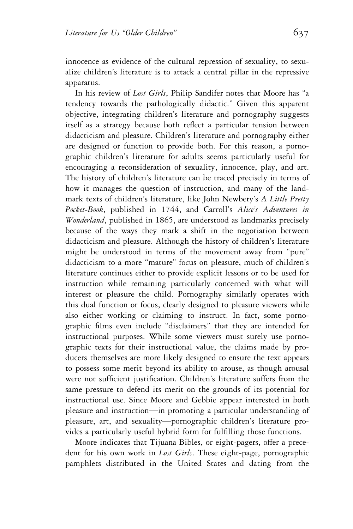innocence as evidence of the cultural repression of sexuality, to sexualize children's literature is to attack a central pillar in the repressive apparatus.

In his review of Lost Girls, Philip Sandifer notes that Moore has "a tendency towards the pathologically didactic." Given this apparent objective, integrating children's literature and pornography suggests itself as a strategy because both reflect a particular tension between didacticism and pleasure. Children's literature and pornography either are designed or function to provide both. For this reason, a pornographic children's literature for adults seems particularly useful for encouraging a reconsideration of sexuality, innocence, play, and art. The history of children's literature can be traced precisely in terms of how it manages the question of instruction, and many of the landmark texts of children's literature, like John Newbery's A Little Pretty Pocket-Book, published in 1744, and Carroll's Alice's Adventures in Wonderland, published in 1865, are understood as landmarks precisely because of the ways they mark a shift in the negotiation between didacticism and pleasure. Although the history of children's literature might be understood in terms of the movement away from "pure" didacticism to a more "mature" focus on pleasure, much of children's literature continues either to provide explicit lessons or to be used for instruction while remaining particularly concerned with what will interest or pleasure the child. Pornography similarly operates with this dual function or focus, clearly designed to pleasure viewers while also either working or claiming to instruct. In fact, some pornographic films even include "disclaimers" that they are intended for instructional purposes. While some viewers must surely use pornographic texts for their instructional value, the claims made by producers themselves are more likely designed to ensure the text appears to possess some merit beyond its ability to arouse, as though arousal were not sufficient justification. Children's literature suffers from the same pressure to defend its merit on the grounds of its potential for instructional use. Since Moore and Gebbie appear interested in both pleasure and instruction—in promoting a particular understanding of pleasure, art, and sexuality—pornographic children's literature provides a particularly useful hybrid form for fulfilling those functions.

Moore indicates that Tijuana Bibles, or eight-pagers, offer a precedent for his own work in *Lost Girls*. These eight-page, pornographic pamphlets distributed in the United States and dating from the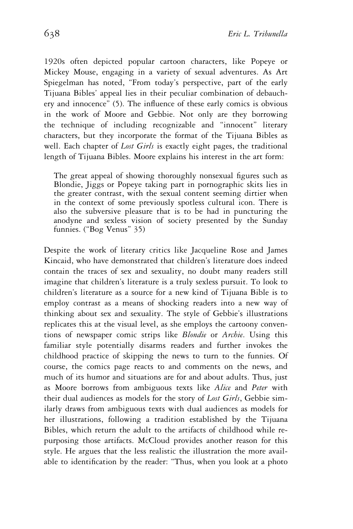1920s often depicted popular cartoon characters, like Popeye or Mickey Mouse, engaging in a variety of sexual adventures. As Art Spiegelman has noted, "From today's perspective, part of the early Tijuana Bibles' appeal lies in their peculiar combination of debauchery and innocence" (5). The influence of these early comics is obvious in the work of Moore and Gebbie. Not only are they borrowing the technique of including recognizable and "innocent" literary characters, but they incorporate the format of the Tijuana Bibles as well. Each chapter of Lost Girls is exactly eight pages, the traditional length of Tijuana Bibles. Moore explains his interest in the art form:

The great appeal of showing thoroughly nonsexual figures such as Blondie, Jiggs or Popeye taking part in pornographic skits lies in the greater contrast, with the sexual content seeming dirtier when in the context of some previously spotless cultural icon. There is also the subversive pleasure that is to be had in puncturing the anodyne and sexless vision of society presented by the Sunday funnies. ("Bog Venus" 35)

Despite the work of literary critics like Jacqueline Rose and James Kincaid, who have demonstrated that children's literature does indeed contain the traces of sex and sexuality, no doubt many readers still imagine that children's literature is a truly sexless pursuit. To look to children's literature as a source for a new kind of Tijuana Bible is to employ contrast as a means of shocking readers into a new way of thinking about sex and sexuality. The style of Gebbie's illustrations replicates this at the visual level, as she employs the cartoony conventions of newspaper comic strips like Blondie or Archie. Using this familiar style potentially disarms readers and further invokes the childhood practice of skipping the news to turn to the funnies. Of course, the comics page reacts to and comments on the news, and much of its humor and situations are for and about adults. Thus, just as Moore borrows from ambiguous texts like Alice and Peter with their dual audiences as models for the story of Lost Girls, Gebbie similarly draws from ambiguous texts with dual audiences as models for her illustrations, following a tradition established by the Tijuana Bibles, which return the adult to the artifacts of childhood while repurposing those artifacts. McCloud provides another reason for this style. He argues that the less realistic the illustration the more available to identification by the reader: "Thus, when you look at a photo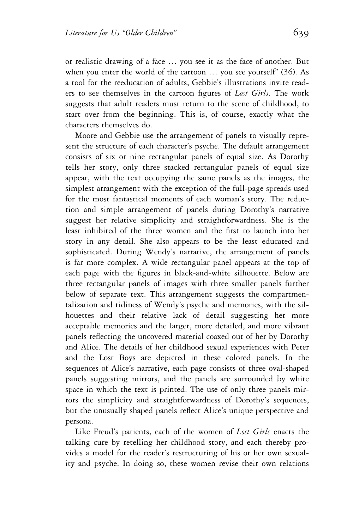or realistic drawing of a face … you see it as the face of another. But when you enter the world of the cartoon … you see yourself" (36). As a tool for the reeducation of adults, Gebbie's illustrations invite readers to see themselves in the cartoon figures of Lost Girls. The work suggests that adult readers must return to the scene of childhood, to start over from the beginning. This is, of course, exactly what the characters themselves do.

Moore and Gebbie use the arrangement of panels to visually represent the structure of each character's psyche. The default arrangement consists of six or nine rectangular panels of equal size. As Dorothy tells her story, only three stacked rectangular panels of equal size appear, with the text occupying the same panels as the images, the simplest arrangement with the exception of the full-page spreads used for the most fantastical moments of each woman's story. The reduction and simple arrangement of panels during Dorothy's narrative suggest her relative simplicity and straightforwardness. She is the least inhibited of the three women and the first to launch into her story in any detail. She also appears to be the least educated and sophisticated. During Wendy's narrative, the arrangement of panels is far more complex. A wide rectangular panel appears at the top of each page with the figures in black-and-white silhouette. Below are three rectangular panels of images with three smaller panels further below of separate text. This arrangement suggests the compartmentalization and tidiness of Wendy's psyche and memories, with the silhouettes and their relative lack of detail suggesting her more acceptable memories and the larger, more detailed, and more vibrant panels reflecting the uncovered material coaxed out of her by Dorothy and Alice. The details of her childhood sexual experiences with Peter and the Lost Boys are depicted in these colored panels. In the sequences of Alice's narrative, each page consists of three oval-shaped panels suggesting mirrors, and the panels are surrounded by white space in which the text is printed. The use of only three panels mirrors the simplicity and straightforwardness of Dorothy's sequences, but the unusually shaped panels reflect Alice's unique perspective and persona.

Like Freud's patients, each of the women of Lost Girls enacts the talking cure by retelling her childhood story, and each thereby provides a model for the reader's restructuring of his or her own sexuality and psyche. In doing so, these women revise their own relations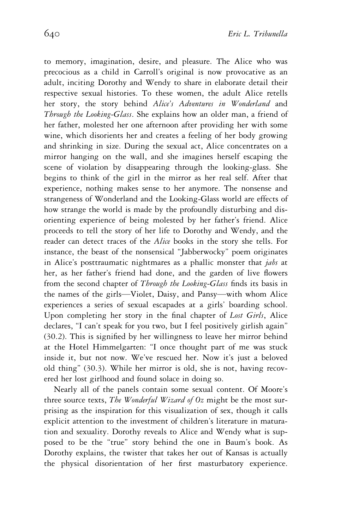to memory, imagination, desire, and pleasure. The Alice who was precocious as a child in Carroll's original is now provocative as an adult, inciting Dorothy and Wendy to share in elaborate detail their respective sexual histories. To these women, the adult Alice retells her story, the story behind Alice's Adventures in Wonderland and Through the Looking-Glass. She explains how an older man, a friend of her father, molested her one afternoon after providing her with some wine, which disorients her and creates a feeling of her body growing and shrinking in size. During the sexual act, Alice concentrates on a mirror hanging on the wall, and she imagines herself escaping the scene of violation by disappearing through the looking-glass. She begins to think of the girl in the mirror as her real self. After that experience, nothing makes sense to her anymore. The nonsense and strangeness of Wonderland and the Looking-Glass world are effects of how strange the world is made by the profoundly disturbing and disorienting experience of being molested by her father's friend. Alice proceeds to tell the story of her life to Dorothy and Wendy, and the reader can detect traces of the Alice books in the story she tells. For instance, the beast of the nonsensical "Jabberwocky" poem originates in Alice's posttraumatic nightmares as a phallic monster that *jabs* at her, as her father's friend had done, and the garden of live flowers from the second chapter of Through the Looking-Glass finds its basis in the names of the girls—Violet, Daisy, and Pansy—with whom Alice experiences a series of sexual escapades at a girls' boarding school. Upon completing her story in the final chapter of Lost Girls, Alice declares, "I can't speak for you two, but I feel positively girlish again" (30.2). This is signified by her willingness to leave her mirror behind at the Hotel Himmelgarten: "I once thought part of me was stuck inside it, but not now. We've rescued her. Now it's just a beloved old thing" (30.3). While her mirror is old, she is not, having recovered her lost girlhood and found solace in doing so.

Nearly all of the panels contain some sexual content. Of Moore's three source texts, The Wonderful Wizard of Oz might be the most surprising as the inspiration for this visualization of sex, though it calls explicit attention to the investment of children's literature in maturation and sexuality. Dorothy reveals to Alice and Wendy what is supposed to be the "true" story behind the one in Baum's book. As Dorothy explains, the twister that takes her out of Kansas is actually the physical disorientation of her first masturbatory experience.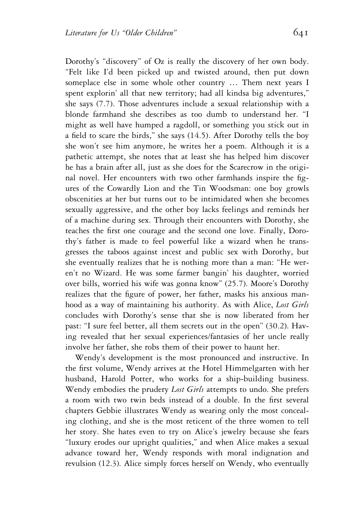Dorothy's "discovery" of Oz is really the discovery of her own body. "Felt like I'd been picked up and twisted around, then put down someplace else in some whole other country … Them next years I spent explorin' all that new territory; had all kindsa big adventures," she says (7.7). Those adventures include a sexual relationship with a blonde farmhand she describes as too dumb to understand her. "I might as well have humped a ragdoll, or something you stick out in a field to scare the birds," she says (14.5). After Dorothy tells the boy she won't see him anymore, he writes her a poem. Although it is a pathetic attempt, she notes that at least she has helped him discover he has a brain after all, just as she does for the Scarecrow in the original novel. Her encounters with two other farmhands inspire the figures of the Cowardly Lion and the Tin Woodsman: one boy growls obscenities at her but turns out to be intimidated when she becomes sexually aggressive, and the other boy lacks feelings and reminds her of a machine during sex. Through their encounters with Dorothy, she teaches the first one courage and the second one love. Finally, Dorothy's father is made to feel powerful like a wizard when he transgresses the taboos against incest and public sex with Dorothy, but she eventually realizes that he is nothing more than a man: "He weren't no Wizard. He was some farmer bangin' his daughter, worried over bills, worried his wife was gonna know" (25.7). Moore's Dorothy realizes that the figure of power, her father, masks his anxious manhood as a way of maintaining his authority. As with Alice, Lost Girls concludes with Dorothy's sense that she is now liberated from her past: "I sure feel better, all them secrets out in the open" (30.2). Having revealed that her sexual experiences/fantasies of her uncle really involve her father, she robs them of their power to haunt her.

Wendy's development is the most pronounced and instructive. In the first volume, Wendy arrives at the Hotel Himmelgarten with her husband, Harold Potter, who works for a ship-building business. Wendy embodies the prudery Lost Girls attempts to undo. She prefers a room with two twin beds instead of a double. In the first several chapters Gebbie illustrates Wendy as wearing only the most concealing clothing, and she is the most reticent of the three women to tell her story. She hates even to try on Alice's jewelry because she fears "luxury erodes our upright qualities," and when Alice makes a sexual advance toward her, Wendy responds with moral indignation and revulsion (12.3). Alice simply forces herself on Wendy, who eventually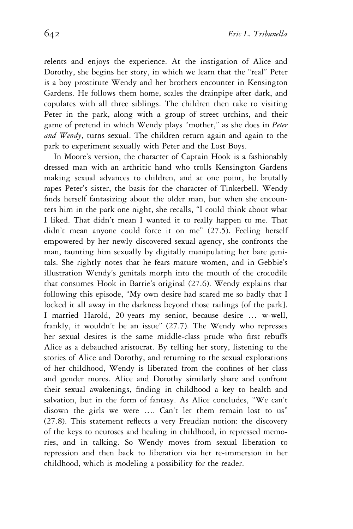relents and enjoys the experience. At the instigation of Alice and Dorothy, she begins her story, in which we learn that the "real" Peter is a boy prostitute Wendy and her brothers encounter in Kensington Gardens. He follows them home, scales the drainpipe after dark, and copulates with all three siblings. The children then take to visiting Peter in the park, along with a group of street urchins, and their game of pretend in which Wendy plays "mother," as she does in Peter and Wendy, turns sexual. The children return again and again to the park to experiment sexually with Peter and the Lost Boys.

In Moore's version, the character of Captain Hook is a fashionably dressed man with an arthritic hand who trolls Kensington Gardens making sexual advances to children, and at one point, he brutally rapes Peter's sister, the basis for the character of Tinkerbell. Wendy finds herself fantasizing about the older man, but when she encounters him in the park one night, she recalls, "I could think about what I liked. That didn't mean I wanted it to really happen to me. That didn't mean anyone could force it on me" (27.5). Feeling herself empowered by her newly discovered sexual agency, she confronts the man, taunting him sexually by digitally manipulating her bare genitals. She rightly notes that he fears mature women, and in Gebbie's illustration Wendy's genitals morph into the mouth of the crocodile that consumes Hook in Barrie's original (27.6). Wendy explains that following this episode, "My own desire had scared me so badly that I locked it all away in the darkness beyond those railings [of the park]. I married Harold, 20 years my senior, because desire … w-well, frankly, it wouldn't be an issue" (27.7). The Wendy who represses her sexual desires is the same middle-class prude who first rebuffs Alice as a debauched aristocrat. By telling her story, listening to the stories of Alice and Dorothy, and returning to the sexual explorations of her childhood, Wendy is liberated from the confines of her class and gender mores. Alice and Dorothy similarly share and confront their sexual awakenings, finding in childhood a key to health and salvation, but in the form of fantasy. As Alice concludes, "We can't disown the girls we were …. Can't let them remain lost to us" (27.8). This statement reflects a very Freudian notion: the discovery of the keys to neuroses and healing in childhood, in repressed memories, and in talking. So Wendy moves from sexual liberation to repression and then back to liberation via her re-immersion in her childhood, which is modeling a possibility for the reader.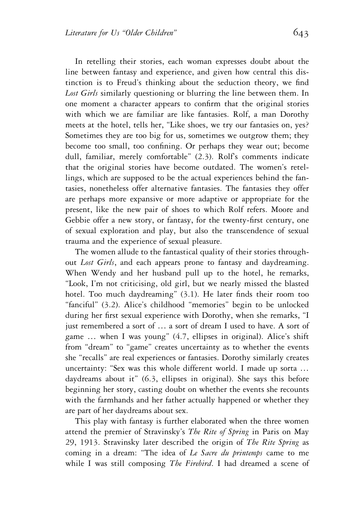In retelling their stories, each woman expresses doubt about the line between fantasy and experience, and given how central this distinction is to Freud's thinking about the seduction theory, we find Lost Girls similarly questioning or blurring the line between them. In one moment a character appears to confirm that the original stories with which we are familiar are like fantasies. Rolf, a man Dorothy meets at the hotel, tells her, "Like shoes, we try our fantasies on, yes? Sometimes they are too big for us, sometimes we outgrow them; they become too small, too confining. Or perhaps they wear out; become dull, familiar, merely comfortable" (2.3). Rolf's comments indicate that the original stories have become outdated. The women's retellings, which are supposed to be the actual experiences behind the fantasies, nonetheless offer alternative fantasies. The fantasies they offer are perhaps more expansive or more adaptive or appropriate for the present, like the new pair of shoes to which Rolf refers. Moore and Gebbie offer a new story, or fantasy, for the twenty-first century, one of sexual exploration and play, but also the transcendence of sexual trauma and the experience of sexual pleasure.

The women allude to the fantastical quality of their stories throughout Lost Girls, and each appears prone to fantasy and daydreaming. When Wendy and her husband pull up to the hotel, he remarks, "Look, I'm not criticising, old girl, but we nearly missed the blasted hotel. Too much daydreaming" (3.1). He later finds their room too "fanciful" (3.2). Alice's childhood "memories" begin to be unlocked during her first sexual experience with Dorothy, when she remarks, "I just remembered a sort of … a sort of dream I used to have. A sort of game … when I was young" (4.7, ellipses in original). Alice's shift from "dream" to "game" creates uncertainty as to whether the events she "recalls" are real experiences or fantasies. Dorothy similarly creates uncertainty: "Sex was this whole different world. I made up sorta … daydreams about it" (6.3, ellipses in original). She says this before beginning her story, casting doubt on whether the events she recounts with the farmhands and her father actually happened or whether they are part of her daydreams about sex.

This play with fantasy is further elaborated when the three women attend the premier of Stravinsky's The Rite of Spring in Paris on May 29, 1913. Stravinsky later described the origin of The Rite Spring as coming in a dream: "The idea of Le Sacre du printemps came to me while I was still composing The Firebird. I had dreamed a scene of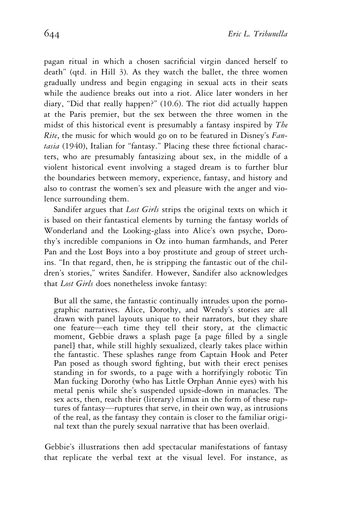pagan ritual in which a chosen sacrificial virgin danced herself to death" (qtd. in Hill 3). As they watch the ballet, the three women gradually undress and begin engaging in sexual acts in their seats while the audience breaks out into a riot. Alice later wonders in her diary, "Did that really happen?" (10.6). The riot did actually happen at the Paris premier, but the sex between the three women in the midst of this historical event is presumably a fantasy inspired by The Rite, the music for which would go on to be featured in Disney's Fantasia (1940), Italian for "fantasy." Placing these three fictional characters, who are presumably fantasizing about sex, in the middle of a violent historical event involving a staged dream is to further blur the boundaries between memory, experience, fantasy, and history and also to contrast the women's sex and pleasure with the anger and violence surrounding them.

Sandifer argues that Lost Girls strips the original texts on which it is based on their fantastical elements by turning the fantasy worlds of Wonderland and the Looking-glass into Alice's own psyche, Dorothy's incredible companions in Oz into human farmhands, and Peter Pan and the Lost Boys into a boy prostitute and group of street urchins. "In that regard, then, he is stripping the fantastic out of the children's stories," writes Sandifer. However, Sandifer also acknowledges that Lost Girls does nonetheless invoke fantasy:

But all the same, the fantastic continually intrudes upon the pornographic narratives. Alice, Dorothy, and Wendy's stories are all drawn with panel layouts unique to their narrators, but they share one feature—each time they tell their story, at the climactic moment, Gebbie draws a splash page [a page filled by a single panel] that, while still highly sexualized, clearly takes place within the fantastic. These splashes range from Captain Hook and Peter Pan posed as though sword fighting, but with their erect penises standing in for swords, to a page with a horrifyingly robotic Tin Man fucking Dorothy (who has Little Orphan Annie eyes) with his metal penis while she's suspended upside-down in manacles. The sex acts, then, reach their (literary) climax in the form of these ruptures of fantasy—ruptures that serve, in their own way, as intrusions of the real, as the fantasy they contain is closer to the familiar original text than the purely sexual narrative that has been overlaid.

Gebbie's illustrations then add spectacular manifestations of fantasy that replicate the verbal text at the visual level. For instance, as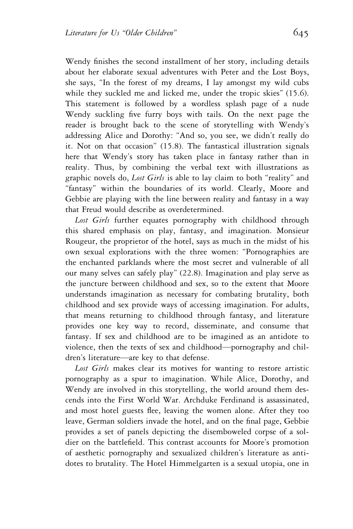Wendy finishes the second installment of her story, including details about her elaborate sexual adventures with Peter and the Lost Boys, she says, "In the forest of my dreams, I lay amongst my wild cubs while they suckled me and licked me, under the tropic skies" (15.6). This statement is followed by a wordless splash page of a nude Wendy suckling five furry boys with tails. On the next page the reader is brought back to the scene of storytelling with Wendy's addressing Alice and Dorothy: "And so, you see, we didn't really do it. Not on that occasion" (15.8). The fantastical illustration signals here that Wendy's story has taken place in fantasy rather than in reality. Thus, by combining the verbal text with illustrations as graphic novels do, Lost Girls is able to lay claim to both "reality" and "fantasy" within the boundaries of its world. Clearly, Moore and Gebbie are playing with the line between reality and fantasy in a way that Freud would describe as overdetermined.

Lost Girls further equates pornography with childhood through this shared emphasis on play, fantasy, and imagination. Monsieur Rougeur, the proprietor of the hotel, says as much in the midst of his own sexual explorations with the three women: "Pornographies are the enchanted parklands where the most secret and vulnerable of all our many selves can safely play" (22.8). Imagination and play serve as the juncture between childhood and sex, so to the extent that Moore understands imagination as necessary for combating brutality, both childhood and sex provide ways of accessing imagination. For adults, that means returning to childhood through fantasy, and literature provides one key way to record, disseminate, and consume that fantasy. If sex and childhood are to be imagined as an antidote to violence, then the texts of sex and childhood—pornography and children's literature—are key to that defense.

Lost Girls makes clear its motives for wanting to restore artistic pornography as a spur to imagination. While Alice, Dorothy, and Wendy are involved in this storytelling, the world around them descends into the First World War. Archduke Ferdinand is assassinated, and most hotel guests flee, leaving the women alone. After they too leave, German soldiers invade the hotel, and on the final page, Gebbie provides a set of panels depicting the disemboweled corpse of a soldier on the battlefield. This contrast accounts for Moore's promotion of aesthetic pornography and sexualized children's literature as antidotes to brutality. The Hotel Himmelgarten is a sexual utopia, one in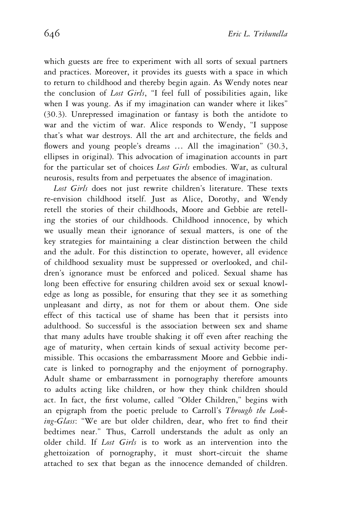which guests are free to experiment with all sorts of sexual partners and practices. Moreover, it provides its guests with a space in which to return to childhood and thereby begin again. As Wendy notes near the conclusion of Lost Girls, "I feel full of possibilities again, like when I was young. As if my imagination can wander where it likes" (30.3). Unrepressed imagination or fantasy is both the antidote to war and the victim of war. Alice responds to Wendy, "I suppose that's what war destroys. All the art and architecture, the fields and flowers and young people's dreams ... All the imagination" (30.3, ellipses in original). This advocation of imagination accounts in part for the particular set of choices Lost Girls embodies. War, as cultural neurosis, results from and perpetuates the absence of imagination.

Lost Girls does not just rewrite children's literature. These texts re-envision childhood itself. Just as Alice, Dorothy, and Wendy retell the stories of their childhoods, Moore and Gebbie are retelling the stories of our childhoods. Childhood innocence, by which we usually mean their ignorance of sexual matters, is one of the key strategies for maintaining a clear distinction between the child and the adult. For this distinction to operate, however, all evidence of childhood sexuality must be suppressed or overlooked, and children's ignorance must be enforced and policed. Sexual shame has long been effective for ensuring children avoid sex or sexual knowledge as long as possible, for ensuring that they see it as something unpleasant and dirty, as not for them or about them. One side effect of this tactical use of shame has been that it persists into adulthood. So successful is the association between sex and shame that many adults have trouble shaking it off even after reaching the age of maturity, when certain kinds of sexual activity become permissible. This occasions the embarrassment Moore and Gebbie indicate is linked to pornography and the enjoyment of pornography. Adult shame or embarrassment in pornography therefore amounts to adults acting like children, or how they think children should act. In fact, the first volume, called "Older Children," begins with an epigraph from the poetic prelude to Carroll's Through the Looking-Glass: "We are but older children, dear, who fret to find their bedtimes near." Thus, Carroll understands the adult as only an older child. If Lost Girls is to work as an intervention into the ghettoization of pornography, it must short-circuit the shame attached to sex that began as the innocence demanded of children.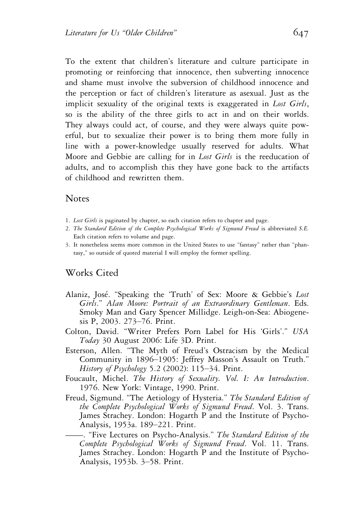To the extent that children's literature and culture participate in promoting or reinforcing that innocence, then subverting innocence and shame must involve the subversion of childhood innocence and the perception or fact of children's literature as asexual. Just as the implicit sexuality of the original texts is exaggerated in Lost Girls, so is the ability of the three girls to act in and on their worlds. They always could act, of course, and they were always quite powerful, but to sexualize their power is to bring them more fully in line with a power-knowledge usually reserved for adults. What Moore and Gebbie are calling for in Lost Girls is the reeducation of adults, and to accomplish this they have gone back to the artifacts of childhood and rewritten them.

## **Notes**

- 1. Lost Girls is paginated by chapter, so each citation refers to chapter and page.
- 2. The Standard Edition of the Complete Psychological Works of Sigmund Freud is abbreviated S.E. Each citation refers to volume and page.
- 3. It nonetheless seems more common in the United States to use "fantasy" rather than "phantasy," so outside of quoted material I will employ the former spelling.

## Works Cited

- Alaniz, José. "Speaking the 'Truth' of Sex: Moore & Gebbie's Lost Girls." Alan Moore: Portrait of an Extraordinary Gentleman. Eds. Smoky Man and Gary Spencer Millidge. Leigh-on-Sea: Abiogenesis P, 2003. 273–76. Print.
- Colton, David. "Writer Prefers Porn Label for His 'Girls'." USA Today 30 August 2006: Life 3D. Print.
- Esterson, Allen. "The Myth of Freud's Ostracism by the Medical Community in 1896–1905: Jeffrey Masson's Assault on Truth." History of Psychology 5.2 (2002): 115–34. Print.
- Foucault, Michel. The History of Sexuality. Vol. I: An Introduction. 1976. New York: Vintage, 1990. Print.
- Freud, Sigmund. "The Aetiology of Hysteria." The Standard Edition of the Complete Psychological Works of Sigmund Freud. Vol. 3. Trans. James Strachey. London: Hogarth P and the Institute of Psycho-Analysis, 1953a. 189–221. Print.
	- ——. "Five Lectures on Psycho-Analysis." The Standard Edition of the Complete Psychological Works of Sigmund Freud. Vol. 11. Trans. James Strachey. London: Hogarth P and the Institute of Psycho-Analysis, 1953b. 3–58. Print.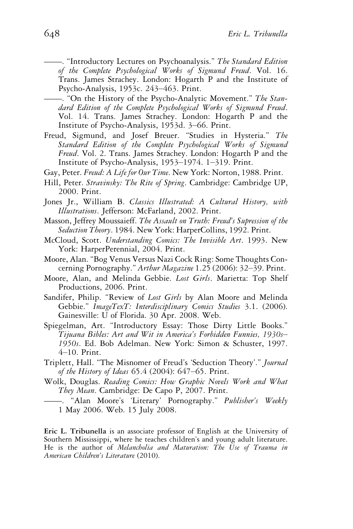- . "Introductory Lectures on Psychoanalysis." The Standard Edition of the Complete Psychological Works of Sigmund Freud. Vol. 16. Trans. James Strachey. London: Hogarth P and the Institute of Psycho-Analysis, 1953c. 243–463. Print.

- —. "On the History of the Psycho-Analytic Movement." The Standard Edition of the Complete Psychological Works of Sigmund Freud. Vol. 14. Trans. James Strachey. London: Hogarth P and the Institute of Psycho-Analysis, 1953d. 3–66. Print.
- Freud, Sigmund, and Josef Breuer. "Studies in Hysteria." The Standard Edition of the Complete Psychological Works of Sigmund Freud. Vol. 2. Trans. James Strachey. London: Hogarth P and the Institute of Psycho-Analysis, 1953–1974. 1–319. Print.
- Gay, Peter. Freud: A Life for Our Time. New York: Norton, 1988. Print.
- Hill, Peter. Stravinsky: The Rite of Spring. Cambridge: Cambridge UP, 2000. Print.
- Jones Jr., William B. Classics Illustrated: A Cultural History, with Illustrations. Jefferson: McFarland, 2002. Print.
- Masson, Jeffrey Moussaieff. The Assault on Truth: Freud's Supression of the Seduction Theory. 1984. New York: HarperCollins, 1992. Print.
- McCloud, Scott. Understanding Comics: The Invisible Art. 1993. New York: HarperPerennial, 2004. Print.
- Moore, Alan. "Bog Venus Versus Nazi Cock Ring: Some Thoughts Concerning Pornography." Arthur Magazine 1.25 (2006): 32–39. Print.
- Moore, Alan, and Melinda Gebbie. Lost Girls. Marietta: Top Shelf Productions, 2006. Print.
- Sandifer, Philip. "Review of Lost Girls by Alan Moore and Melinda Gebbie." ImageTexT: Interdisciplinary Comics Studies 3.1. (2006). Gainesville: U of Florida. 30 Apr. 2008. Web.
- Spiegelman, Art. "Introductory Essay: Those Dirty Little Books." Tijuana Bibles: Art and Wit in America's Forbidden Funnies, 1930s– 1950s. Ed. Bob Adelman. New York: Simon & Schuster, 1997. 4–10. Print.
- Triplett, Hall. "The Misnomer of Freud's 'Seduction Theory'." Journal of the History of Ideas 65.4 (2004): 647–65. Print.
- Wolk, Douglas. Reading Comics: How Graphic Novels Work and What They Mean. Cambridge: De Capo P, 2007. Print.

"Alan Moore's 'Literary' Pornography." Publisher's Weekly 1 May 2006. Web. 15 July 2008.

Eric L. Tribunella is an associate professor of English at the University of Southern Mississippi, where he teaches children's and young adult literature. He is the author of Melancholia and Maturation: The Use of Trauma in American Children's Literature (2010).